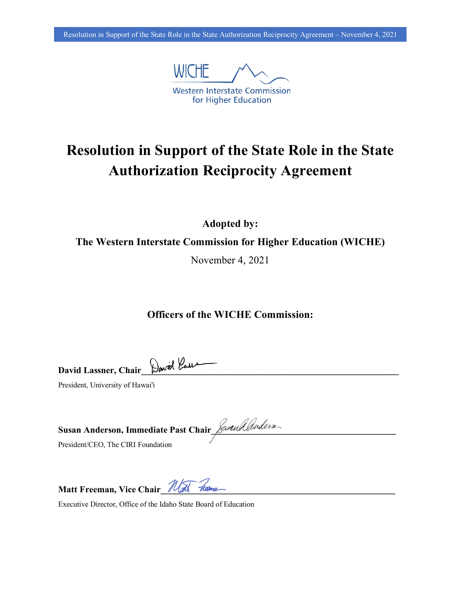

## **Resolution in Support of the State Role in the State Authorization Reciprocity Agreement**

**Adopted by:**

**The Western Interstate Commission for Higher Education (WICHE)**

November 4, 2021

**Officers of the WICHE Commission:**

**David Lassner, Chair\_\_\_\_\_\_\_\_\_\_\_\_\_\_\_\_\_\_\_\_\_\_\_\_\_\_\_\_\_\_\_\_\_\_\_\_\_\_\_\_\_\_\_\_\_\_\_\_\_\_\_\_\_\_\_\_\_**

President, University of Hawai'i

| Tusan Anderson, Immediate Past Chair Juralluders |  |
|--------------------------------------------------|--|
| $\sim$ TD T $\sim$<br>$\sqrt{ }$                 |  |

President/CEO, The CIRI Foundation

**Matt Freeman, Vice Chair\_\_\_\_\_\_\_\_\_\_\_\_\_\_\_\_\_\_\_\_\_\_\_\_\_\_\_\_\_\_\_\_\_\_\_\_\_\_\_\_\_\_\_\_\_\_\_\_\_\_\_\_**

Executive Director, Office of the Idaho State Board of Education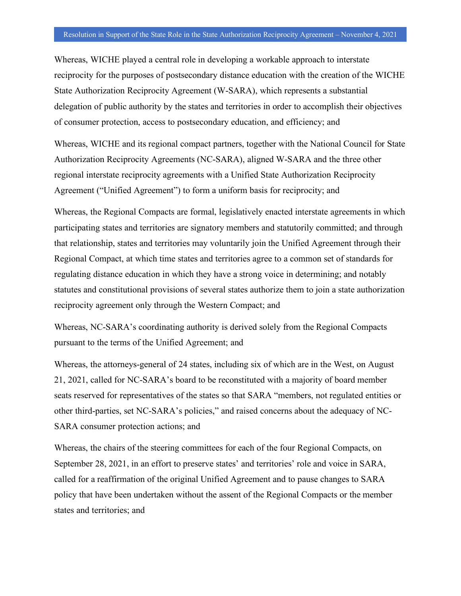Whereas, WICHE played a central role in developing a workable approach to interstate reciprocity for the purposes of postsecondary distance education with the creation of the WICHE State Authorization Reciprocity Agreement (W-SARA), which represents a substantial delegation of public authority by the states and territories in order to accomplish their objectives of consumer protection, access to postsecondary education, and efficiency; and

Whereas, WICHE and its regional compact partners, together with the National Council for State Authorization Reciprocity Agreements (NC-SARA), aligned W-SARA and the three other regional interstate reciprocity agreements with a Unified State Authorization Reciprocity Agreement ("Unified Agreement") to form a uniform basis for reciprocity; and

Whereas, the Regional Compacts are formal, legislatively enacted interstate agreements in which participating states and territories are signatory members and statutorily committed; and through that relationship, states and territories may voluntarily join the Unified Agreement through their Regional Compact, at which time states and territories agree to a common set of standards for regulating distance education in which they have a strong voice in determining; and notably statutes and constitutional provisions of several states authorize them to join a state authorization reciprocity agreement only through the Western Compact; and

Whereas, NC-SARA's coordinating authority is derived solely from the Regional Compacts pursuant to the terms of the Unified Agreement; and

Whereas, the attorneys-general of 24 states, including six of which are in the West, on August 21, 2021, called for NC-SARA's board to be reconstituted with a majority of board member seats reserved for representatives of the states so that SARA "members, not regulated entities or other third-parties, set NC-SARA's policies," and raised concerns about the adequacy of NC-SARA consumer protection actions; and

Whereas, the chairs of the steering committees for each of the four Regional Compacts, on September 28, 2021, in an effort to preserve states' and territories' role and voice in SARA, called for a reaffirmation of the original Unified Agreement and to pause changes to SARA policy that have been undertaken without the assent of the Regional Compacts or the member states and territories; and